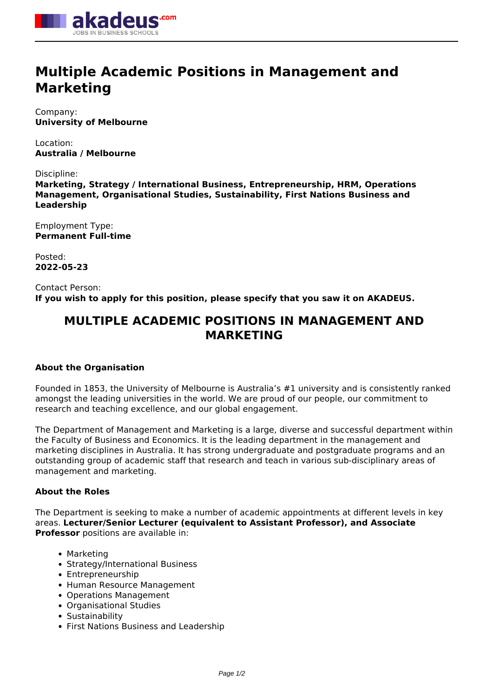

# **Multiple Academic Positions in Management and Marketing**

Company: **University of Melbourne**

Location: **Australia / Melbourne**

Discipline:

**Marketing, Strategy / International Business, Entrepreneurship, HRM, Operations Management, Organisational Studies, Sustainability, First Nations Business and Leadership**

Employment Type: **Permanent Full-time**

Posted: **2022-05-23**

Contact Person: **If you wish to apply for this position, please specify that you saw it on AKADEUS.**

# **MULTIPLE ACADEMIC POSITIONS IN MANAGEMENT AND MARKETING**

## **About the Organisation**

Founded in 1853, the University of Melbourne is Australia's #1 university and is consistently ranked amongst the leading universities in the world. We are proud of our people, our commitment to research and teaching excellence, and our global engagement.

The Department of Management and Marketing is a large, diverse and successful department within the Faculty of Business and Economics. It is the leading department in the management and marketing disciplines in Australia. It has strong undergraduate and postgraduate programs and an outstanding group of academic staff that research and teach in various sub-disciplinary areas of management and marketing.

## **About the Roles**

The Department is seeking to make a number of academic appointments at different levels in key areas. **Lecturer/Senior Lecturer (equivalent to Assistant Professor), and Associate Professor** positions are available in:

- Marketing
- Strategy/International Business
- Entrepreneurship
- Human Resource Management
- Operations Management
- Organisational Studies
- Sustainability
- First Nations Business and Leadership